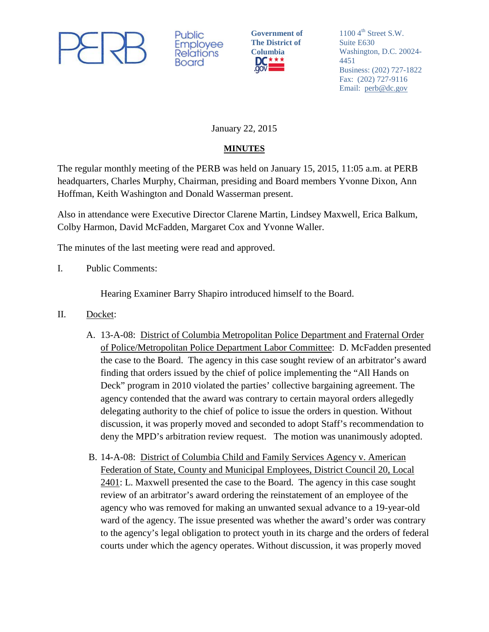

Public Employee **Relations** Board

**Government of The District of**  Columbia<br>**DC**<sup>\*\*\*</sup>

 $1100 \, 4^{\text{th}}$  Street S.W. Suite E630 Washington, D.C. 20024- 4451 Business: (202) 727-1822 Fax: (202) 727-9116 Email: [perb@dc.gov](mailto:perb@dc.gov)

January 22, 2015

## **MINUTES**

The regular monthly meeting of the PERB was held on January 15, 2015, 11:05 a.m. at PERB headquarters, Charles Murphy, Chairman, presiding and Board members Yvonne Dixon, Ann Hoffman, Keith Washington and Donald Wasserman present.

Also in attendance were Executive Director Clarene Martin, Lindsey Maxwell, Erica Balkum, Colby Harmon, David McFadden, Margaret Cox and Yvonne Waller.

The minutes of the last meeting were read and approved.

I. Public Comments:

Hearing Examiner Barry Shapiro introduced himself to the Board.

- II. Docket:
	- A. 13-A-08: District of Columbia Metropolitan Police Department and Fraternal Order of Police/Metropolitan Police Department Labor Committee: D. McFadden presented the case to the Board. The agency in this case sought review of an arbitrator's award finding that orders issued by the chief of police implementing the "All Hands on Deck" program in 2010 violated the parties' collective bargaining agreement. The agency contended that the award was contrary to certain mayoral orders allegedly delegating authority to the chief of police to issue the orders in question. Without discussion, it was properly moved and seconded to adopt Staff's recommendation to deny the MPD's arbitration review request. The motion was unanimously adopted.
	- B. 14-A-08: District of Columbia Child and Family Services Agency v. American Federation of State, County and Municipal Employees, District Council 20, Local 2401: L. Maxwell presented the case to the Board. The agency in this case sought review of an arbitrator's award ordering the reinstatement of an employee of the agency who was removed for making an unwanted sexual advance to a 19-year-old ward of the agency. The issue presented was whether the award's order was contrary to the agency's legal obligation to protect youth in its charge and the orders of federal courts under which the agency operates. Without discussion, it was properly moved